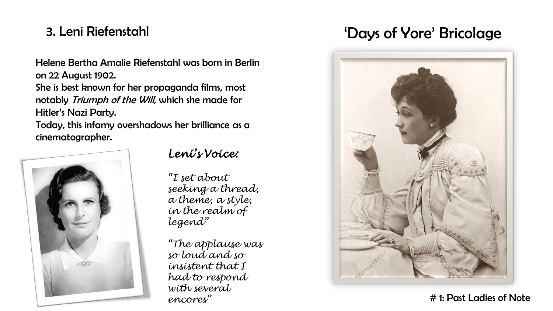# 3. Leni Riefenstahl

Helene Bertha Amalie Riefenstahl was born in Berlin on 22 August 1902.

She is best known for her propaganda films, most notably Triumph of the Will, which she made for Hitler's Nazi Party.

Today, this infamy overshadows her brilliance as a cinematographer.



#### *Leni's Voice:*

*"I set about seeking a thread, a theme, a style, in the realm of legend"*

*"The applause was so loud and so insistent that I had to respond with several encores"*

# 'Days of Yore' Bricolage



<sup>#</sup> 1: Past Ladies of Note